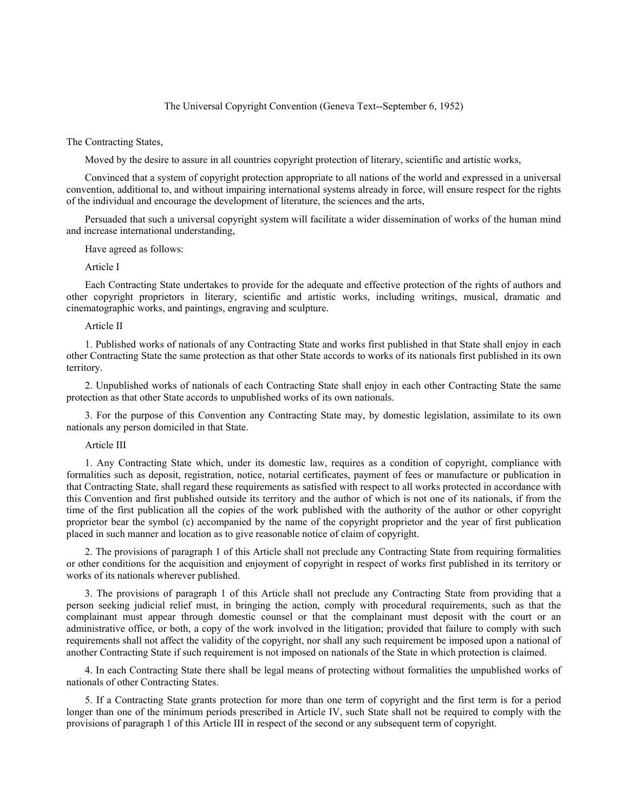# The Universal Copyright Convention (Geneva Text--September 6, 1952)

The Contracting States,

Moved by the desire to assure in all countries copyright protection of literary, scientific and artistic works,

Convinced that a system of copyright protection appropriate to all nations of the world and expressed in a universal convention, additional to, and without impairing international systems already in force, will ensure respect for the rights of the individual and encourage the development of literature, the sciences and the arts,

Persuaded that such a universal copyright system will facilitate a wider dissemination of works of the human mind and increase international understanding,

Have agreed as follows:

## Article I

Each Contracting State undertakes to provide for the adequate and effective protection of the rights of authors and other copyright proprietors in literary, scientific and artistic works, including writings, musical, dramatic and cinematographic works, and paintings, engraving and sculpture.

#### Article II

1. Published works of nationals of any Contracting State and works first published in that State shall enjoy in each other Contracting State the same protection as that other State accords to works of its nationals first published in its own territory.

2. Unpublished works of nationals of each Contracting State shall enjoy in each other Contracting State the same protection as that other State accords to unpublished works of its own nationals.

3. For the purpose of this Convention any Contracting State may, by domestic legislation, assimilate to its own nationals any person domiciled in that State.

# Article III

1. Any Contracting State which, under its domestic law, requires as a condition of copyright, compliance with formalities such as deposit, registration, notice, notarial certificates, payment of fees or manufacture or publication in that Contracting State, shall regard these requirements as satisfied with respect to all works protected in accordance with this Convention and first published outside its territory and the author of which is not one of its nationals, if from the time of the first publication all the copies of the work published with the authority of the author or other copyright proprietor bear the symbol (c) accompanied by the name of the copyright proprietor and the year of first publication placed in such manner and location as to give reasonable notice of claim of copyright.

2. The provisions of paragraph 1 of this Article shall not preclude any Contracting State from requiring formalities or other conditions for the acquisition and enjoyment of copyright in respect of works first published in its territory or works of its nationals wherever published.

3. The provisions of paragraph 1 of this Article shall not preclude any Contracting State from providing that a person seeking judicial relief must, in bringing the action, comply with procedural requirements, such as that the complainant must appear through domestic counsel or that the complainant must deposit with the court or an administrative office, or both, a copy of the work involved in the litigation; provided that failure to comply with such requirements shall not affect the validity of the copyright, nor shall any such requirement be imposed upon a national of another Contracting State if such requirement is not imposed on nationals of the State in which protection is claimed.

4. In each Contracting State there shall be legal means of protecting without formalities the unpublished works of nationals of other Contracting States.

5. If a Contracting State grants protection for more than one term of copyright and the first term is for a period longer than one of the minimum periods prescribed in Article IV, such State shall not be required to comply with the provisions of paragraph 1 of this Article III in respect of the second or any subsequent term of copyright.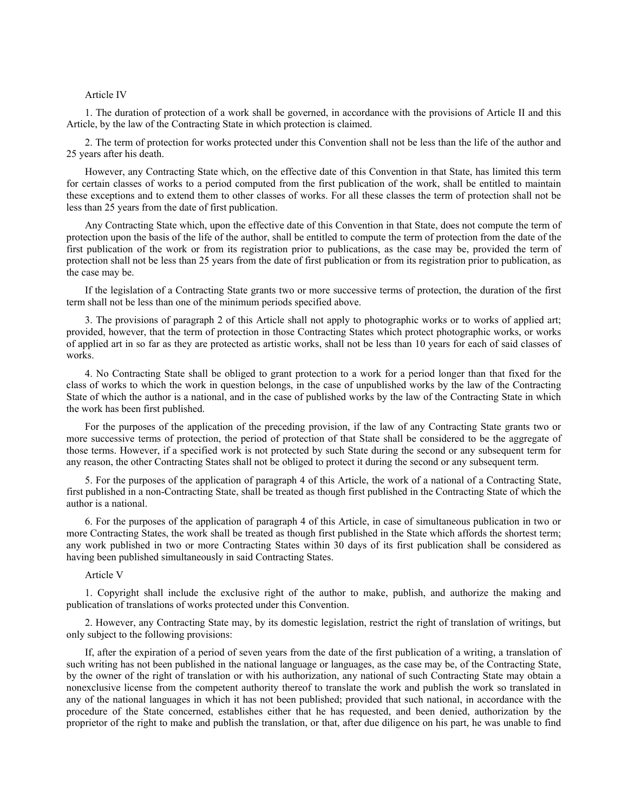### Article IV

1. The duration of protection of a work shall be governed, in accordance with the provisions of Article II and this Article, by the law of the Contracting State in which protection is claimed.

2. The term of protection for works protected under this Convention shall not be less than the life of the author and 25 years after his death.

However, any Contracting State which, on the effective date of this Convention in that State, has limited this term for certain classes of works to a period computed from the first publication of the work, shall be entitled to maintain these exceptions and to extend them to other classes of works. For all these classes the term of protection shall not be less than 25 years from the date of first publication.

Any Contracting State which, upon the effective date of this Convention in that State, does not compute the term of protection upon the basis of the life of the author, shall be entitled to compute the term of protection from the date of the first publication of the work or from its registration prior to publications, as the case may be, provided the term of protection shall not be less than 25 years from the date of first publication or from its registration prior to publication, as the case may be.

If the legislation of a Contracting State grants two or more successive terms of protection, the duration of the first term shall not be less than one of the minimum periods specified above.

3. The provisions of paragraph 2 of this Article shall not apply to photographic works or to works of applied art; provided, however, that the term of protection in those Contracting States which protect photographic works, or works of applied art in so far as they are protected as artistic works, shall not be less than 10 years for each of said classes of works.

4. No Contracting State shall be obliged to grant protection to a work for a period longer than that fixed for the class of works to which the work in question belongs, in the case of unpublished works by the law of the Contracting State of which the author is a national, and in the case of published works by the law of the Contracting State in which the work has been first published.

For the purposes of the application of the preceding provision, if the law of any Contracting State grants two or more successive terms of protection, the period of protection of that State shall be considered to be the aggregate of those terms. However, if a specified work is not protected by such State during the second or any subsequent term for any reason, the other Contracting States shall not be obliged to protect it during the second or any subsequent term.

5. For the purposes of the application of paragraph 4 of this Article, the work of a national of a Contracting State, first published in a non-Contracting State, shall be treated as though first published in the Contracting State of which the author is a national.

6. For the purposes of the application of paragraph 4 of this Article, in case of simultaneous publication in two or more Contracting States, the work shall be treated as though first published in the State which affords the shortest term; any work published in two or more Contracting States within 30 days of its first publication shall be considered as having been published simultaneously in said Contracting States.

# Article V

1. Copyright shall include the exclusive right of the author to make, publish, and authorize the making and publication of translations of works protected under this Convention.

2. However, any Contracting State may, by its domestic legislation, restrict the right of translation of writings, but only subject to the following provisions:

If, after the expiration of a period of seven years from the date of the first publication of a writing, a translation of such writing has not been published in the national language or languages, as the case may be, of the Contracting State, by the owner of the right of translation or with his authorization, any national of such Contracting State may obtain a nonexclusive license from the competent authority thereof to translate the work and publish the work so translated in any of the national languages in which it has not been published; provided that such national, in accordance with the procedure of the State concerned, establishes either that he has requested, and been denied, authorization by the proprietor of the right to make and publish the translation, or that, after due diligence on his part, he was unable to find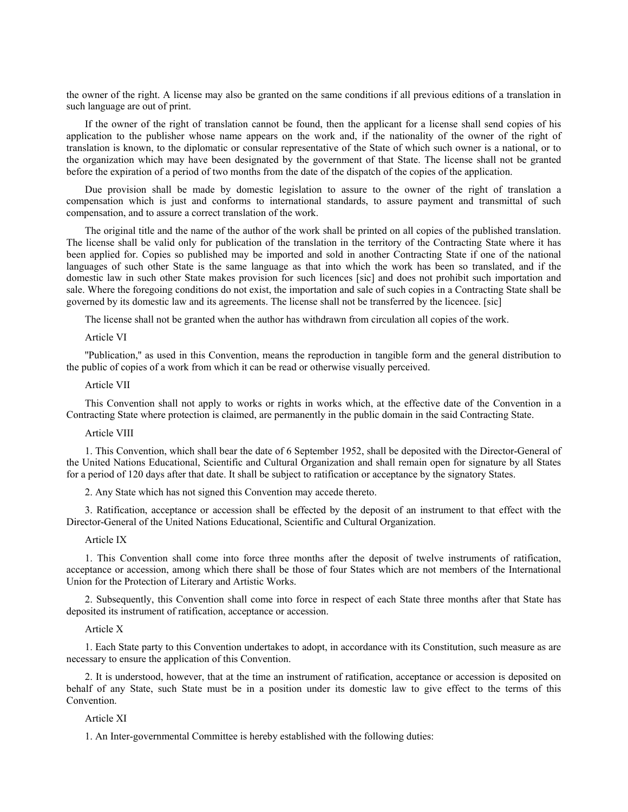the owner of the right. A license may also be granted on the same conditions if all previous editions of a translation in such language are out of print.

If the owner of the right of translation cannot be found, then the applicant for a license shall send copies of his application to the publisher whose name appears on the work and, if the nationality of the owner of the right of translation is known, to the diplomatic or consular representative of the State of which such owner is a national, or to the organization which may have been designated by the government of that State. The license shall not be granted before the expiration of a period of two months from the date of the dispatch of the copies of the application.

Due provision shall be made by domestic legislation to assure to the owner of the right of translation a compensation which is just and conforms to international standards, to assure payment and transmittal of such compensation, and to assure a correct translation of the work.

The original title and the name of the author of the work shall be printed on all copies of the published translation. The license shall be valid only for publication of the translation in the territory of the Contracting State where it has been applied for. Copies so published may be imported and sold in another Contracting State if one of the national languages of such other State is the same language as that into which the work has been so translated, and if the domestic law in such other State makes provision for such licences [sic] and does not prohibit such importation and sale. Where the foregoing conditions do not exist, the importation and sale of such copies in a Contracting State shall be governed by its domestic law and its agreements. The license shall not be transferred by the licencee. [sic]

The license shall not be granted when the author has withdrawn from circulation all copies of the work.

## Article VI

''Publication,'' as used in this Convention, means the reproduction in tangible form and the general distribution to the public of copies of a work from which it can be read or otherwise visually perceived.

## Article VII

This Convention shall not apply to works or rights in works which, at the effective date of the Convention in a Contracting State where protection is claimed, are permanently in the public domain in the said Contracting State.

### Article VIII

1. This Convention, which shall bear the date of 6 September 1952, shall be deposited with the Director-General of the United Nations Educational, Scientific and Cultural Organization and shall remain open for signature by all States for a period of 120 days after that date. It shall be subject to ratification or acceptance by the signatory States.

2. Any State which has not signed this Convention may accede thereto.

3. Ratification, acceptance or accession shall be effected by the deposit of an instrument to that effect with the Director-General of the United Nations Educational, Scientific and Cultural Organization.

## Article IX

1. This Convention shall come into force three months after the deposit of twelve instruments of ratification, acceptance or accession, among which there shall be those of four States which are not members of the International Union for the Protection of Literary and Artistic Works.

2. Subsequently, this Convention shall come into force in respect of each State three months after that State has deposited its instrument of ratification, acceptance or accession.

#### Article X

1. Each State party to this Convention undertakes to adopt, in accordance with its Constitution, such measure as are necessary to ensure the application of this Convention.

2. It is understood, however, that at the time an instrument of ratification, acceptance or accession is deposited on behalf of any State, such State must be in a position under its domestic law to give effect to the terms of this Convention.

## Article XI

1. An Inter-governmental Committee is hereby established with the following duties: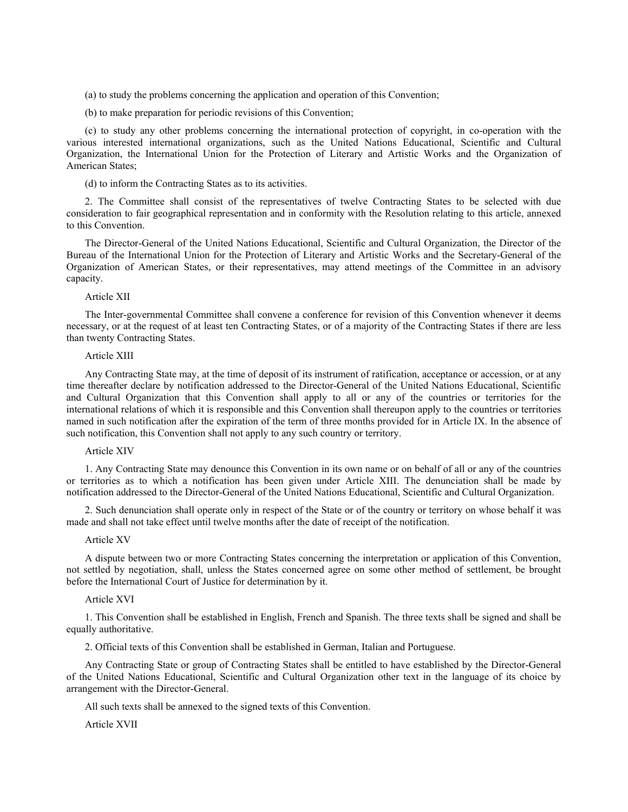(a) to study the problems concerning the application and operation of this Convention;

(b) to make preparation for periodic revisions of this Convention;

(c) to study any other problems concerning the international protection of copyright, in co-operation with the various interested international organizations, such as the United Nations Educational, Scientific and Cultural Organization, the International Union for the Protection of Literary and Artistic Works and the Organization of American States;

(d) to inform the Contracting States as to its activities.

2. The Committee shall consist of the representatives of twelve Contracting States to be selected with due consideration to fair geographical representation and in conformity with the Resolution relating to this article, annexed to this Convention.

The Director-General of the United Nations Educational, Scientific and Cultural Organization, the Director of the Bureau of the International Union for the Protection of Literary and Artistic Works and the Secretary-General of the Organization of American States, or their representatives, may attend meetings of the Committee in an advisory capacity.

#### Article XII

The Inter-governmental Committee shall convene a conference for revision of this Convention whenever it deems necessary, or at the request of at least ten Contracting States, or of a majority of the Contracting States if there are less than twenty Contracting States.

# Article XIII

Any Contracting State may, at the time of deposit of its instrument of ratification, acceptance or accession, or at any time thereafter declare by notification addressed to the Director-General of the United Nations Educational, Scientific and Cultural Organization that this Convention shall apply to all or any of the countries or territories for the international relations of which it is responsible and this Convention shall thereupon apply to the countries or territories named in such notification after the expiration of the term of three months provided for in Article IX. In the absence of such notification, this Convention shall not apply to any such country or territory.

## Article XIV

1. Any Contracting State may denounce this Convention in its own name or on behalf of all or any of the countries or territories as to which a notification has been given under Article XIII. The denunciation shall be made by notification addressed to the Director-General of the United Nations Educational, Scientific and Cultural Organization.

2. Such denunciation shall operate only in respect of the State or of the country or territory on whose behalf it was made and shall not take effect until twelve months after the date of receipt of the notification.

# Article XV

A dispute between two or more Contracting States concerning the interpretation or application of this Convention, not settled by negotiation, shall, unless the States concerned agree on some other method of settlement, be brought before the International Court of Justice for determination by it.

## Article XVI

1. This Convention shall be established in English, French and Spanish. The three texts shall be signed and shall be equally authoritative.

2. Official texts of this Convention shall be established in German, Italian and Portuguese.

Any Contracting State or group of Contracting States shall be entitled to have established by the Director-General of the United Nations Educational, Scientific and Cultural Organization other text in the language of its choice by arrangement with the Director-General.

All such texts shall be annexed to the signed texts of this Convention.

Article XVII